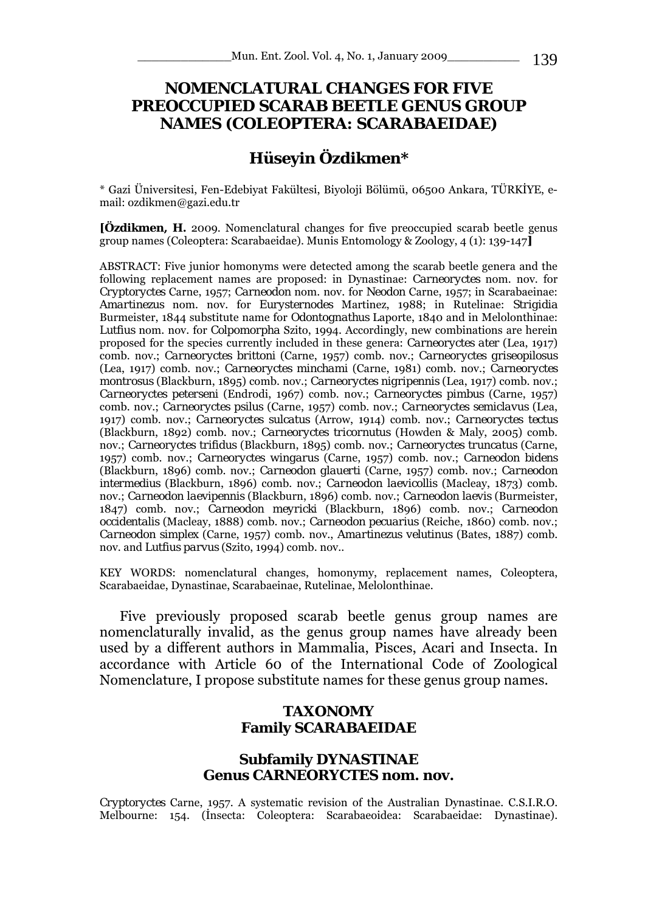# **NOMENCLATURAL CHANGES FOR FIVE PREOCCUPIED SCARAB BEETLE GENUS GROUP NAMES (COLEOPTERA: SCARABAEIDAE)**

# **Hüseyin Özdikmen\***

\* Gazi Üniversitesi, Fen-Edebiyat Fakültesi, Biyoloji Bölümü, 06500 Ankara, TÜRKİYE, email: ozdikmen@gazi.edu.tr

**[Özdikmen, H.** 2009. Nomenclatural changes for five preoccupied scarab beetle genus group names (Coleoptera: Scarabaeidae). Munis Entomology & Zoology, 4 (1): 139-147**]**

ABSTRACT: Five junior homonyms were detected among the scarab beetle genera and the following replacement names are proposed: in Dynastinae: *Carneoryctes* nom. nov. for *Cryptoryctes* Carne, 1957; *Carneodon* nom. nov. for *Neodon* Carne, 1957; in Scarabaeinae: *Amartinezus* nom. nov. for *Eurysternodes* Martinez, 1988; in Rutelinae: *Strigidia*  Burmeister, 1844 substitute name for *Odontognathus* Laporte, 1840 and in Melolonthinae: *Lutfius* nom. nov. for *Colpomorpha* Szito, 1994. Accordingly, new combinations are herein proposed for the species currently included in these genera: *Carneoryctes ater* (Lea, 1917) comb. nov.; *Carneoryctes brittoni* (Carne, 1957) comb. nov.; *Carneoryctes griseopilosus*  (Lea, 1917) comb. nov.; *Carneoryctes minchami* (Carne, 1981) comb. nov.; *Carneoryctes montrosus* (Blackburn, 1895) comb. nov.; *Carneoryctes nigripennis* (Lea, 1917) comb. nov.; *Carneoryctes peterseni* (Endrodi, 1967) comb. nov.; *Carneoryctes pimbus* (Carne, 1957) comb. nov.; *Carneoryctes psilus* (Carne, 1957) comb. nov.; *Carneoryctes semiclavus* (Lea, 1917) comb. nov.; *Carneoryctes sulcatus* (Arrow, 1914) comb. nov.; *Carneoryctes tectus*  (Blackburn, 1892) comb. nov.; *Carneoryctes tricornutus* (Howden & Maly, 2005) comb. nov.; *Carneoryctes trifidus* (Blackburn, 1895) comb. nov.; *Carneoryctes truncatus* (Carne, 1957) comb. nov.; *Carneoryctes wingarus* (Carne, 1957) comb. nov.; *Carneodon bidens*  (Blackburn, 1896) comb. nov.; *Carneodon glauerti* (Carne, 1957) comb. nov.; *Carneodon intermedius* (Blackburn, 1896) comb. nov.; *Carneodon laevicollis* (Macleay, 1873) comb. nov.; *Carneodon laevipennis* (Blackburn, 1896) comb. nov.; *Carneodon laevis* (Burmeister, 1847) comb. nov.; *Carneodon meyricki* (Blackburn, 1896) comb. nov.; *Carneodon occidentalis* (Macleay, 1888) comb. nov.; *Carneodon pecuarius* (Reiche, 1860) comb. nov.; *Carneodon simplex* (Carne, 1957) comb. nov., *Amartinezus velutinus* (Bates, 1887) comb. nov. and *Lutfius parvus* (Szito, 1994) comb. nov..

KEY WORDS: nomenclatural changes, homonymy, replacement names, Coleoptera, Scarabaeidae, Dynastinae, Scarabaeinae, Rutelinae, Melolonthinae.

Five previously proposed scarab beetle genus group names are nomenclaturally invalid, as the genus group names have already been used by a different authors in Mammalia, Pisces, Acari and Insecta. In accordance with Article 60 of the International Code of Zoological Nomenclature, I propose substitute names for these genus group names.

#### **TAXONOMY Family SCARABAEIDAE**

#### **Subfamily DYNASTINAE Genus** *CARNEORYCTES* **nom. nov.**

*Cryptoryctes* Carne, 1957. A systematic revision of the Australian Dynastinae. C.S.I.R.O. Melbourne: 154. (İnsecta: Coleoptera: Scarabaeoidea: Scarabaeidae: Dynastinae).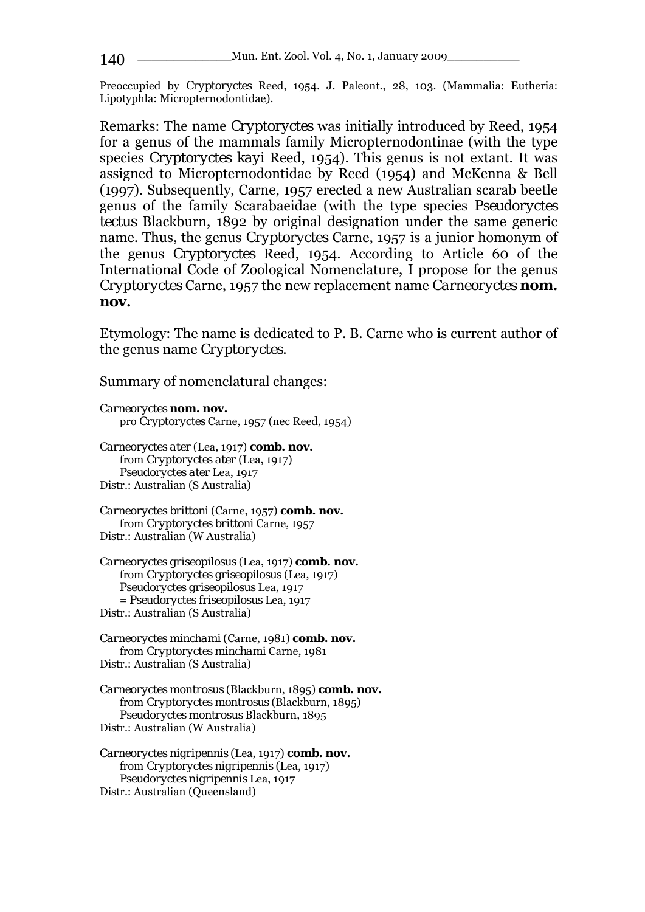Preoccupied by *Cryptoryctes* Reed, 1954. J. Paleont., 28, 103. (Mammalia: Eutheria: Lipotyphla: Micropternodontidae).

Remarks: The name *Cryptoryctes* was initially introduced by Reed, 1954 for a genus of the mammals family Micropternodontinae (with the type species *Cryptoryctes kayi* Reed, 1954). This genus is not extant. It was assigned to Micropternodontidae by Reed (1954) and McKenna & Bell (1997). Subsequently, Carne, 1957 erected a new Australian scarab beetle genus of the family Scarabaeidae (with the type species *Pseudoryctes tectus* Blackburn, 1892 by original designation under the same generic name. Thus, the genus *Cryptoryctes* Carne, 1957 is a junior homonym of the genus *Cryptoryctes* Reed, 1954. According to Article 60 of the International Code of Zoological Nomenclature, I propose for the genus *Cryptoryctes* Carne, 1957 the new replacement name *Carneoryctes* **nom. nov.**

Etymology: The name is dedicated to P. B. Carne who is current author of the genus name *Cryptoryctes*.

Summary of nomenclatural changes:

```
Carneoryctes nom. nov. 
   pro Cryptoryctes Carne, 1957 (nec Reed, 1954) 
Carneoryctes ater (Lea, 1917) comb. nov.
```
from *Cryptoryctes ater* (Lea, 1917) *Pseudoryctes ater* Lea, 1917 Distr.: Australian (S Australia)

*Carneoryctes brittoni* (Carne, 1957) **comb. nov.** from *Cryptoryctes brittoni* Carne, 1957 Distr.: Australian (W Australia)

*Carneoryctes griseopilosus* (Lea, 1917) **comb. nov.** from *Cryptoryctes griseopilosus* (Lea, 1917) *Pseudoryctes griseopilosus* Lea, 1917 = *Pseudoryctes friseopilosus* Lea, 1917 Distr.: Australian (S Australia)

*Carneoryctes minchami* (Carne, 1981) **comb. nov.** from *Cryptoryctes minchami* Carne, 1981 Distr.: Australian (S Australia)

*Carneoryctes montrosus* (Blackburn, 1895) **comb. nov.** from *Cryptoryctes montrosus* (Blackburn, 1895) *Pseudoryctes montrosus* Blackburn, 1895 Distr.: Australian (W Australia)

*Carneoryctes nigripennis* (Lea, 1917) **comb. nov.** from *Cryptoryctes nigripennis* (Lea, 1917) *Pseudoryctes nigripennis* Lea, 1917 Distr.: Australian (Queensland)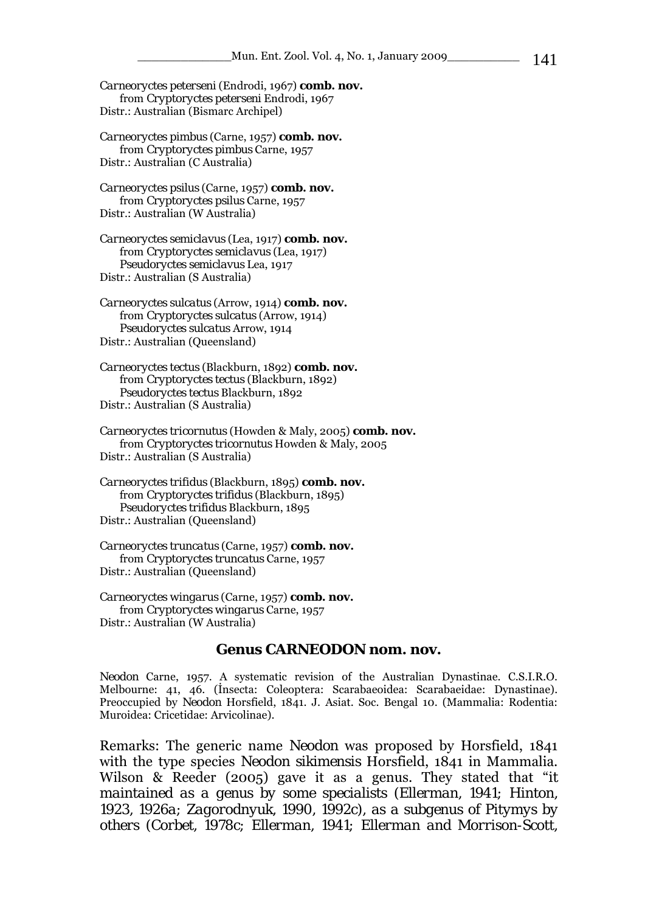*Carneoryctes peterseni* (Endrodi, 1967) **comb. nov.** from *Cryptoryctes peterseni* Endrodi, 1967 Distr.: Australian (Bismarc Archipel)

*Carneoryctes pimbus* (Carne, 1957) **comb. nov.** from *Cryptoryctes pimbus* Carne, 1957 Distr.: Australian (C Australia)

*Carneoryctes psilus* (Carne, 1957) **comb. nov.** from *Cryptoryctes psilus* Carne, 1957 Distr.: Australian (W Australia)

*Carneoryctes semiclavus* (Lea, 1917) **comb. nov.** from *Cryptoryctes semiclavus* (Lea, 1917) *Pseudoryctes semiclavus* Lea, 1917 Distr.: Australian (S Australia)

*Carneoryctes sulcatus* (Arrow, 1914) **comb. nov.** from *Cryptoryctes sulcatus* (Arrow, 1914) *Pseudoryctes sulcatus* Arrow, 1914 Distr.: Australian (Queensland)

*Carneoryctes tectus* (Blackburn, 1892) **comb. nov.** from *Cryptoryctes tectus* (Blackburn, 1892) *Pseudoryctes tectus* Blackburn, 1892 Distr.: Australian (S Australia)

*Carneoryctes tricornutus* (Howden & Maly, 2005) **comb. nov.** from *Cryptoryctes tricornutus* Howden & Maly, 2005 Distr.: Australian (S Australia)

*Carneoryctes trifidus* (Blackburn, 1895) **comb. nov.** from *Cryptoryctes trifidus* (Blackburn, 1895) *Pseudoryctes trifidus* Blackburn, 1895 Distr.: Australian (Queensland)

*Carneoryctes truncatus* (Carne, 1957) **comb. nov.** from *Cryptoryctes truncatus* Carne, 1957 Distr.: Australian (Queensland)

*Carneoryctes wingarus* (Carne, 1957) **comb. nov.** from *Cryptoryctes wingarus* Carne, 1957 Distr.: Australian (W Australia)

#### **Genus** *CARNEODON* **nom. nov.**

*Neodon* Carne, 1957. A systematic revision of the Australian Dynastinae. C.S.I.R.O. Melbourne: 41, 46. (İnsecta: Coleoptera: Scarabaeoidea: Scarabaeidae: Dynastinae). Preoccupied by *Neodon* Horsfield, 1841. J. Asiat. Soc. Bengal 10. (Mammalia: Rodentia: Muroidea: Cricetidae: Arvicolinae).

Remarks: The generic name *Neodon* was proposed by Horsfield, 1841 with the type species *Neodon sikimensis* Horsfield, 1841 in Mammalia. Wilson & Reeder (2005) gave it as a genus. They stated that "*it maintained as a genus by some specialists (Ellerman, 1941; Hinton, 1923, 1926a; Zagorodnyuk, 1990, 1992c), as a subgenus of Pitymys by others (Corbet, 1978c; Ellerman, 1941; Ellerman and Morrison-Scott,*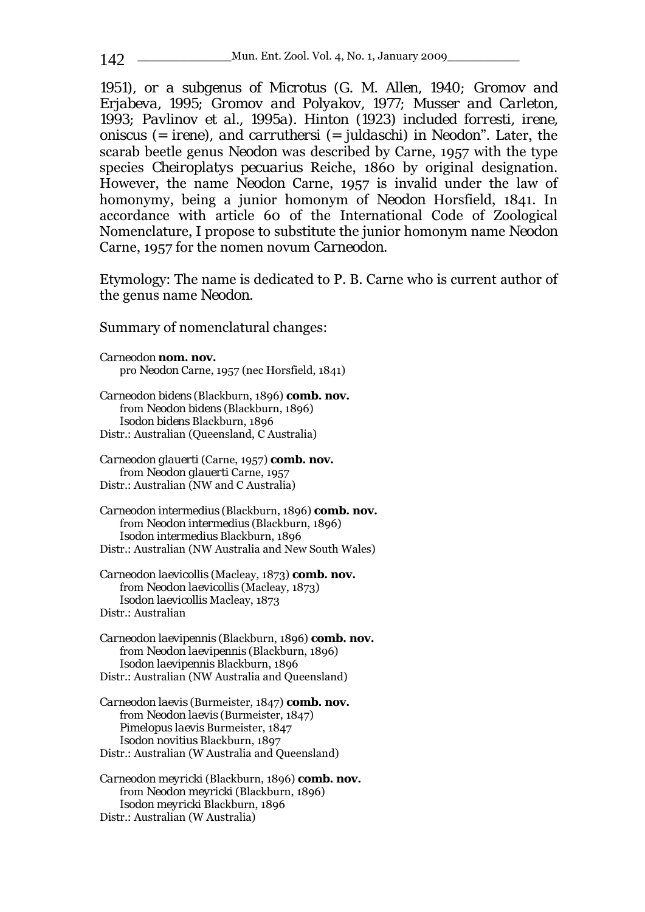*1951), or a subgenus of Microtus (G. M. Allen, 1940; Gromov and Erjabeva, 1995; Gromov and Polyakov, 1977; Musser and Carleton, 1993; Pavlinov et al., 1995a). Hinton (1923) included forresti, irene, oniscus (= irene), and carruthersi (= juldaschi) in Neodon*". Later, the scarab beetle genus *Neodon* was described by Carne, 1957 with the type species *Cheiroplatys pecuarius* Reiche, 1860 by original designation. However, the name *Neodon* Carne, 1957 is invalid under the law of homonymy, being a junior homonym of *Neodon* Horsfield, 1841. In accordance with article 60 of the International Code of Zoological Nomenclature, I propose to substitute the junior homonym name *Neodon*  Carne, 1957 for the nomen novum *Carneodon*.

Etymology: The name is dedicated to P. B. Carne who is current author of the genus name *Neodon*.

Summary of nomenclatural changes:

*Carneodon* **nom. nov.**  pro *Neodon* Carne, 1957 (nec Horsfield, 1841)

*Carneodon bidens* (Blackburn, 1896) **comb. nov.** from *Neodon bidens* (Blackburn, 1896) *Isodon bidens* Blackburn, 1896 Distr.: Australian (Queensland, C Australia)

*Carneodon glauerti* (Carne, 1957) **comb. nov.** from *Neodon glauerti* Carne, 1957 Distr.: Australian (NW and C Australia)

*Carneodon intermedius* (Blackburn, 1896) **comb. nov.** from *Neodon intermedius* (Blackburn, 1896) *Isodon intermedius* Blackburn, 1896 Distr.: Australian (NW Australia and New South Wales)

*Carneodon laevicollis* (Macleay, 1873) **comb. nov.** from *Neodon laevicollis* (Macleay, 1873) *Isodon laevicollis* Macleay, 1873 Distr.: Australian

*Carneodon laevipennis* (Blackburn, 1896) **comb. nov.** from *Neodon laevipennis* (Blackburn, 1896) *Isodon laevipennis* Blackburn, 1896 Distr.: Australian (NW Australia and Queensland)

*Carneodon laevis* (Burmeister, 1847) **comb. nov.** from *Neodon laevis* (Burmeister, 1847) *Pimelopus laevis* Burmeister, 1847 *Isodon novitius* Blackburn, 1897 Distr.: Australian (W Australia and Queensland)

*Carneodon meyricki* (Blackburn, 1896) **comb. nov.** from *Neodon meyricki* (Blackburn, 1896) *Isodon meyricki* Blackburn, 1896 Distr.: Australian (W Australia)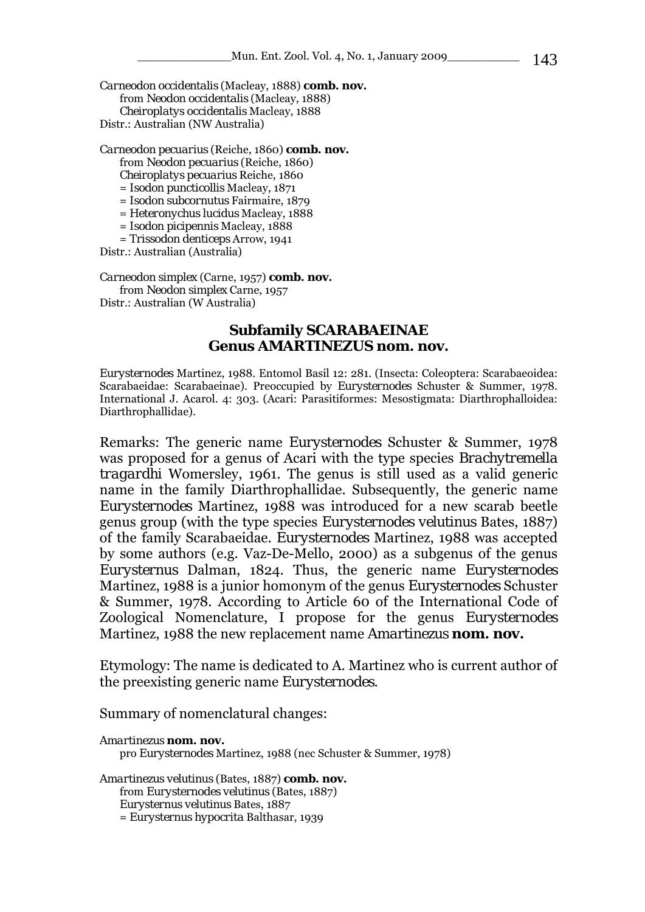*Carneodon occidentalis* (Macleay, 1888) **comb. nov.** from *Neodon occidentalis* (Macleay, 1888) *Cheiroplatys occidentalis* Macleay, 1888 Distr.: Australian (NW Australia)

*Carneodon pecuarius* (Reiche, 1860) **comb. nov.**

from *Neodon pecuarius* (Reiche, 1860)

*Cheiroplatys pecuarius* Reiche, 1860 = *Isodon puncticollis* Macleay, 1871

= *Isodon subcornutus* Fairmaire, 1879

= *Heteronychus lucidus* Macleay, 1888 = *Isodon picipennis* Macleay, 1888

= *Trissodon denticeps* Arrow, 1941

Distr.: Australian (Australia)

*Carneodon simplex* (Carne, 1957) **comb. nov.**

from *Neodon simplex* Carne, 1957 Distr.: Australian (W Australia)

#### **Subfamily SCARABAEINAE Genus** *AMARTINEZUS* **nom. nov.**

*Eurysternodes* Martinez, 1988. Entomol Basil 12: 281. (Insecta: Coleoptera: Scarabaeoidea: Scarabaeidae: Scarabaeinae). Preoccupied by *Eurysternodes* Schuster & Summer, 1978. International J. Acarol. 4: 303. (Acari: Parasitiformes: Mesostigmata: Diarthrophalloidea: Diarthrophallidae).

Remarks: The generic name *Eurysternodes* Schuster & Summer, 1978 was proposed for a genus of Acari with the type species *Brachytremella tragardhi* Womersley, 1961. The genus is still used as a valid generic name in the family Diarthrophallidae. Subsequently, the generic name *Eurysternodes* Martinez, 1988 was introduced for a new scarab beetle genus group (with the type species *Eurysternodes velutinus* Bates, 1887) of the family Scarabaeidae. *Eurysternodes* Martinez, 1988 was accepted by some authors (e.g. Vaz-De-Mello, 2000) as a subgenus of the genus *Eurysternus* Dalman, 1824. Thus, the generic name *Eurysternodes*  Martinez, 1988 is a junior homonym of the genus *Eurysternodes* Schuster & Summer, 1978. According to Article 60 of the International Code of Zoological Nomenclature, I propose for the genus *Eurysternodes*  Martinez, 1988 the new replacement name *Amartinezus* **nom. nov.**

Etymology: The name is dedicated to A. Martinez who is current author of the preexisting generic name *Eurysternodes*.

Summary of nomenclatural changes:

*Amartinezus* **nom. nov.**  pro *Eurysternodes* Martinez, 1988 (nec Schuster & Summer, 1978)

*Amartinezus velutinus* (Bates, 1887) **comb. nov.** from *Eurysternodes velutinus* (Bates, 1887) *Eurysternus velutinus* Bates, 1887 = *Eurysternus hypocrita* Balthasar, 1939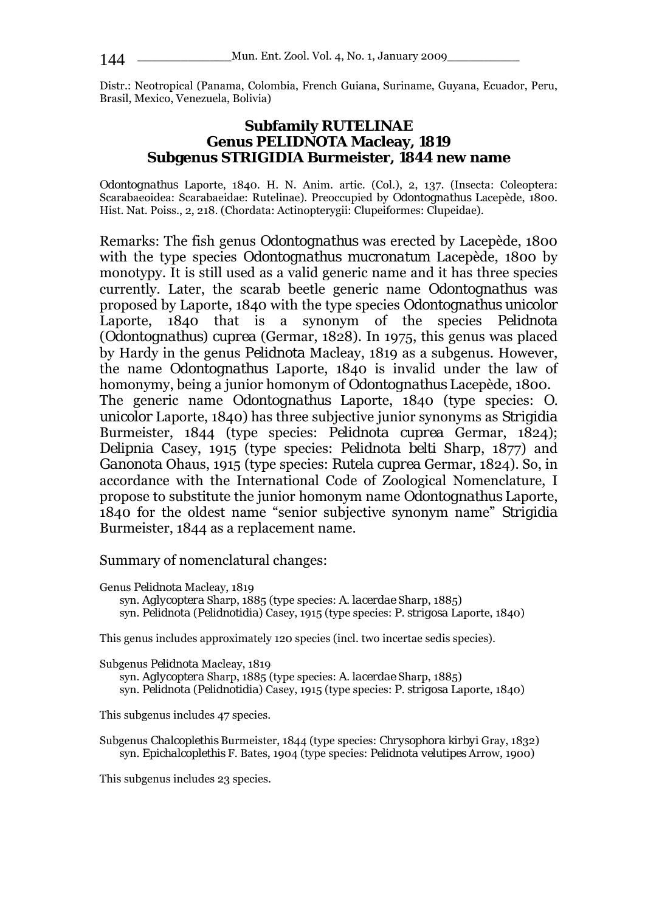Distr.: Neotropical (Panama, Colombia, French Guiana, Suriname, Guyana, Ecuador, Peru, Brasil, Mexico, Venezuela, Bolivia)

## **Subfamily RUTELINAE Genus** *PELIDNOTA* **Macleay, 1819 Subgenus** *STRIGIDIA* **Burmeister, 1844 new name**

*Odontognathus* Laporte, 1840. H. N. Anim. artic. (Col.), 2, 137. (Insecta: Coleoptera: Scarabaeoidea: Scarabaeidae: Rutelinae). Preoccupied by *Odontognathus* Lacepède, 1800. Hist. Nat. Poiss., 2, 218. (Chordata: Actinopterygii: Clupeiformes: Clupeidae).

Remarks: The fish genus *Odontognathus* was erected by Lacepède, 1800 with the type species *Odontognathus mucronatum* Lacepède, 1800 by monotypy. It is still used as a valid generic name and it has three species currently. Later, the scarab beetle generic name *Odontognathus* was proposed by Laporte, 1840 with the type species *Odontognathus unicolor*  Laporte, 1840 that is a synonym of the species *Pelidnota*  (*Odontognathus*) *cuprea* (Germar, 1828). In 1975, this genus was placed by Hardy in the genus *Pelidnota* Macleay, 1819 as a subgenus. However, the name *Odontognathus* Laporte, 1840 is invalid under the law of homonymy, being a junior homonym of *Odontognathus* Lacepède, 1800. The generic name *Odontognathus* Laporte, 1840 (type species: *O. unicolor* Laporte, 1840) has three subjective junior synonyms as *Strigidia* Burmeister, 1844 (type species: *Pelidnota cuprea* Germar, 1824); *Delipnia* Casey, 1915 (type species: *Pelidnota belti* Sharp, 1877) and *Ganonota* Ohaus, 1915 (type species: *Rutela cuprea* Germar, 1824). So, in accordance with the International Code of Zoological Nomenclature, I propose to substitute the junior homonym name *Odontognathus* Laporte, 1840 for the oldest name "senior subjective synonym name" *Strigidia*  Burmeister, 1844 as a replacement name.

Summary of nomenclatural changes:

Genus *Pelidnota* Macleay, 1819 syn. *Aglycoptera* Sharp, 1885 (type species: *A. lacerdae* Sharp, 1885) syn. *Pelidnota* (*Pelidnotidia*) Casey, 1915 (type species: *P. strigosa* Laporte, 1840)

This genus includes approximately 120 species (incl. two incertae sedis species).

Subgenus *Pelidnota* Macleay, 1819 syn. *Aglycoptera* Sharp, 1885 (type species: *A. lacerdae* Sharp, 1885) syn. *Pelidnota* (*Pelidnotidia*) Casey, 1915 (type species: *P. strigosa* Laporte, 1840)

This subgenus includes 47 species.

Subgenus *Chalcoplethis* Burmeister, 1844 (type species: *Chrysophora kirbyi* Gray, 1832) syn. *Epichalcoplethis* F. Bates, 1904 (type species: *Pelidnota velutipes* Arrow, 1900)

This subgenus includes 23 species.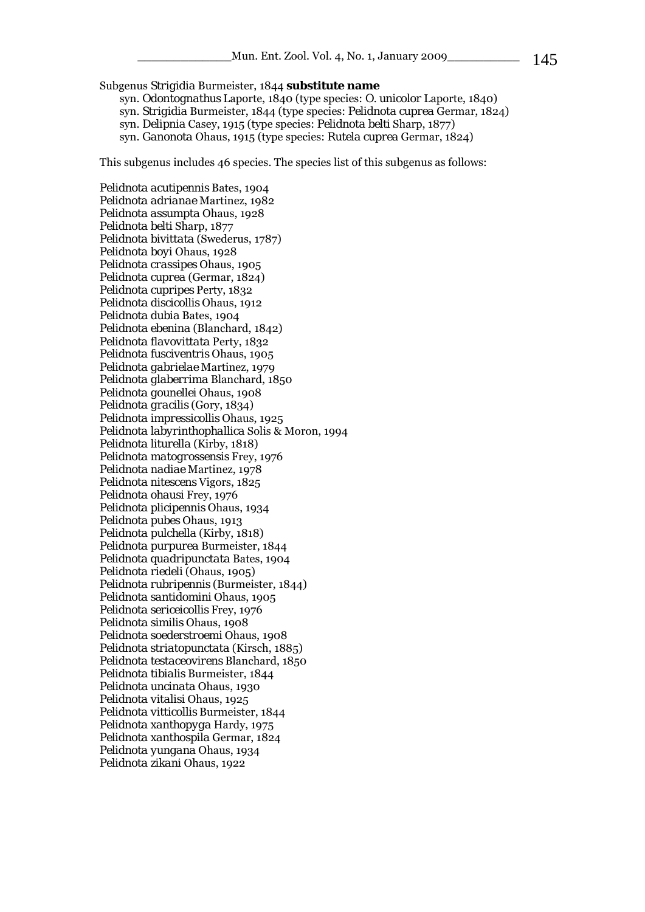#### Subgenus *Strigidia* Burmeister, 1844 **substitute name**

syn. *Odontognathus* Laporte, 1840 (type species: *O. unicolor* Laporte, 1840)

syn. *Strigidia* Burmeister, 1844 (type species: *Pelidnota cuprea* Germar, 1824)

syn. *Delipnia* Casey, 1915 (type species: *Pelidnota belti* Sharp, 1877)

syn. *Ganonota* Ohaus, 1915 (type species: *Rutela cuprea* Germar, 1824)

This subgenus includes 46 species. The species list of this subgenus as follows:

*Pelidnota acutipennis* Bates, 1904 *Pelidnota adrianae* Martinez, 1982 *Pelidnota assumpta* Ohaus, 1928 *Pelidnota belti* Sharp, 1877 *Pelidnota bivittata* (Swederus, 1787) *Pelidnota boyi* Ohaus, 1928 *Pelidnota crassipes* Ohaus, 1905 *Pelidnota cuprea* (Germar, 1824) *Pelidnota cupripes* Perty, 1832 *Pelidnota discicollis* Ohaus, 1912 *Pelidnota dubia* Bates, 1904 *Pelidnota ebenina* (Blanchard, 1842) *Pelidnota flavovittata* Perty, 1832 *Pelidnota fusciventris* Ohaus, 1905 *Pelidnota gabrielae* Martinez, 1979 *Pelidnota glaberrima* Blanchard, 1850 *Pelidnota gounellei* Ohaus, 1908 *Pelidnota gracilis* (Gory, 1834) *Pelidnota impressicollis* Ohaus, 1925 *Pelidnota labyrinthophallica* Solis & Moron, 1994 *Pelidnota liturella* (Kirby, 1818) *Pelidnota matogrossensis* Frey, 1976 *Pelidnota nadiae* Martinez, 1978 *Pelidnota nitescens* Vigors, 1825 *Pelidnota ohausi* Frey, 1976 *Pelidnota plicipennis* Ohaus, 1934 *Pelidnota pubes* Ohaus, 1913 *Pelidnota pulchella* (Kirby, 1818) *Pelidnota purpurea* Burmeister, 1844 *Pelidnota quadripunctata* Bates, 1904 *Pelidnota riedeli* (Ohaus, 1905) *Pelidnota rubripennis* (Burmeister, 1844) *Pelidnota santidomini* Ohaus, 1905 *Pelidnota sericeicollis* Frey, 1976 *Pelidnota similis* Ohaus, 1908 *Pelidnota soederstroemi* Ohaus, 1908 *Pelidnota striatopunctata* (Kirsch, 1885) *Pelidnota testaceovirens* Blanchard, 1850 *Pelidnota tibialis* Burmeister, 1844 *Pelidnota uncinata* Ohaus, 1930 *Pelidnota vitalisi* Ohaus, 1925 *Pelidnota vitticollis* Burmeister, 1844 *Pelidnota xanthopyga* Hardy, 1975 *Pelidnota xanthospila* Germar, 1824 *Pelidnota yungana* Ohaus, 1934 *Pelidnota zikani* Ohaus, 1922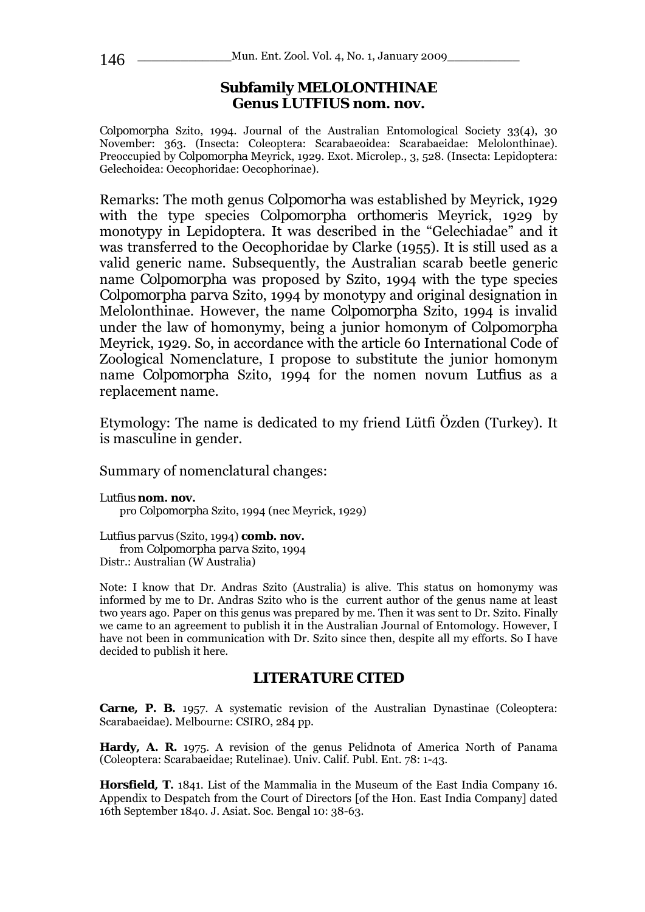### **Subfamily MELOLONTHINAE Genus** *LUTFIUS* **nom. nov.**

*Colpomorpha* Szito, 1994. Journal of the Australian Entomological Society 33(4), 30 November: 363. (Insecta: Coleoptera: Scarabaeoidea: Scarabaeidae: Melolonthinae). Preoccupied by *Colpomorpha* Meyrick, 1929. Exot. Microlep., 3, 528. (Insecta: Lepidoptera: Gelechoidea: Oecophoridae: Oecophorinae).

Remarks: The moth genus *Colpomorha* was established by Meyrick, 1929 with the type species *Colpomorpha orthomeris* Meyrick, 1929 by monotypy in Lepidoptera. It was described in the "Gelechiadae" and it was transferred to the Oecophoridae by Clarke (1955). It is still used as a valid generic name. Subsequently, the Australian scarab beetle generic name *Colpomorpha* was proposed by Szito, 1994 with the type species *Colpomorpha parva* Szito, 1994 by monotypy and original designation in Melolonthinae. However, the name *Colpomorpha* Szito, 1994 is invalid under the law of homonymy, being a junior homonym of *Colpomorpha*  Meyrick, 1929. So, in accordance with the article 60 International Code of Zoological Nomenclature, I propose to substitute the junior homonym name *Colpomorpha* Szito, 1994 for the nomen novum *Lutfius* as a replacement name.

Etymology: The name is dedicated to my friend Lütfi Özden (Turkey). It is masculine in gender.

Summary of nomenclatural changes:

*Lutfius* **nom. nov.**  pro *Colpomorpha* Szito, 1994 (nec Meyrick, 1929)

*Lutfius parvus* (Szito, 1994) **comb. nov.** from *Colpomorpha parva* Szito, 1994 Distr.: Australian (W Australia)

Note: I know that Dr. Andras Szito (Australia) is alive. This status on homonymy was informed by me to Dr. Andras Szito who is the current author of the genus name at least two years ago. Paper on this genus was prepared by me. Then it was sent to Dr. Szito. Finally we came to an agreement to publish it in the Australian Journal of Entomology. However, I have not been in communication with Dr. Szito since then, despite all my efforts. So I have decided to publish it here.

#### **LITERATURE CITED**

**Carne, P. B.** 1957. A systematic revision of the Australian Dynastinae (Coleoptera: Scarabaeidae). Melbourne: CSIRO, 284 pp.

**Hardy, A. R.** 1975. A revision of the genus Pelidnota of America North of Panama (Coleoptera: Scarabaeidae; Rutelinae). Univ. Calif. Publ. Ent. 78: 1-43.

**Horsfield, T.** 1841. List of the Mammalia in the Museum of the East India Company 16. Appendix to Despatch from the Court of Directors [of the Hon. East India Company] dated 16th September 1840. J. Asiat. Soc. Bengal 10: 38-63.